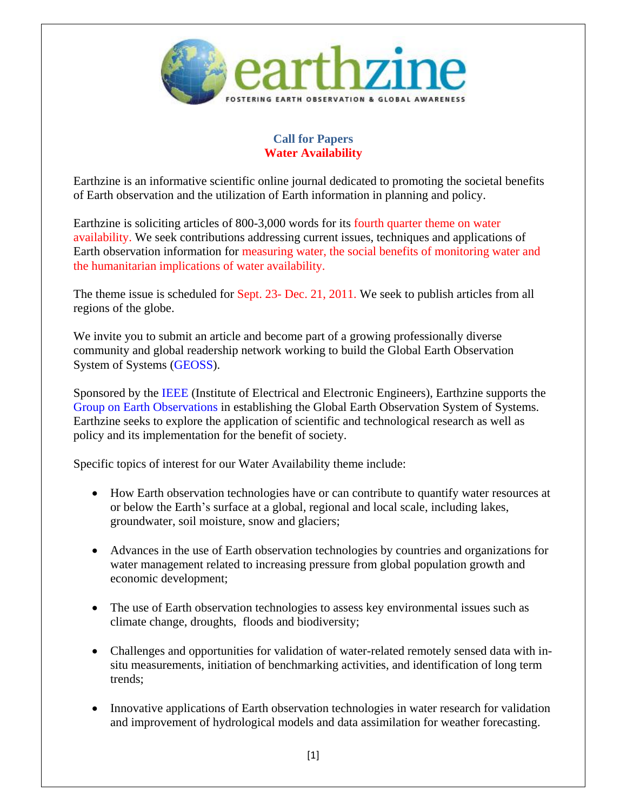

## **Call for Papers Water Availability**

Earthzine is an informative scientific online journal dedicated to promoting the societal benefits of Earth observation and the utilization of Earth information in planning and policy.

Earthzine is soliciting articles of 800-3,000 words for its fourth quarter theme on water availability. We seek contributions addressing current issues, techniques and applications of Earth observation information for measuring water, the social benefits of monitoring water and the humanitarian implications of water availability.

The theme issue is scheduled for Sept. 23- Dec. 21, 2011. We seek to publish articles from all regions of the globe.

We invite you to submit an article and become part of a growing professionally diverse community and global readership network working to build the Global Earth Observation System of Systems [\(GEOSS\)](http://www.earthobservations.org/geoss.shtml).

Sponsored by the [IEEE](http://www.ieee.org/index.html) (Institute of Electrical and Electronic Engineers), Earthzine supports the [Group on Earth Observations](http://www.earthzine.org/geossiceo-page/) in establishing the Global Earth Observation System of Systems. Earthzine seeks to explore the application of scientific and technological research as well as policy and its implementation for the benefit of society.

Specific topics of interest for our Water Availability theme include:

- How Earth observation technologies have or can contribute to quantify water resources at or below the Earth's surface at a global, regional and local scale, including lakes, groundwater, soil moisture, snow and glaciers;
- Advances in the use of Earth observation technologies by countries and organizations for water management related to increasing pressure from global population growth and economic development;
- The use of Earth observation technologies to assess key environmental issues such as climate change, droughts, floods and biodiversity;
- Challenges and opportunities for validation of water-related remotely sensed data with insitu measurements, initiation of benchmarking activities, and identification of long term trends;
- Innovative applications of Earth observation technologies in water research for validation and improvement of hydrological models and data assimilation for weather forecasting.